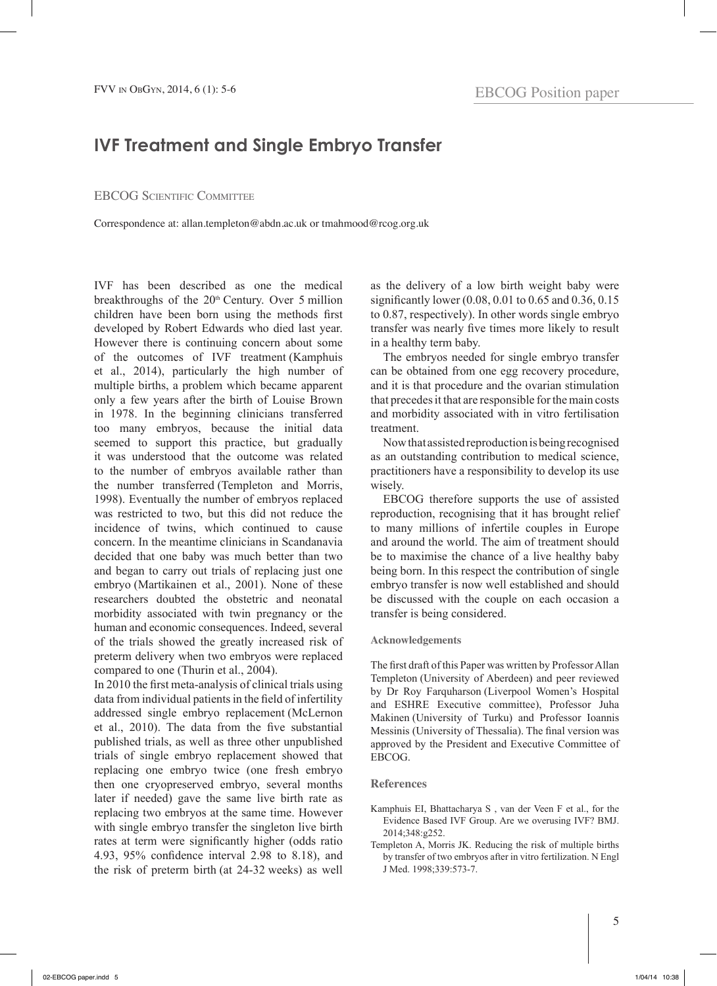## **IVF Treatment and Single Embryo Transfer**

## EBCOG SCIENTIFIC COMMITTEE

Correspondence at: allan.templeton@abdn.ac.uk or tmahmood@rcog.org.uk

IVF has been described as one the medical breakthroughs of the  $20<sup>th</sup>$  Century. Over 5 million children have been born using the methods first developed by Robert Edwards who died last year. However there is continuing concern about some of the outcomes of IVF treatment (Kamphuis et al., 2014), particularly the high number of multiple births, a problem which became apparent only a few years after the birth of Louise Brown in 1978. In the beginning clinicians transferred too many embryos, because the initial data seemed to support this practice, but gradually it was understood that the outcome was related to the number of embryos available rather than the number transferred (Templeton and Morris, 1998). Eventually the number of embryos replaced was restricted to two, but this did not reduce the incidence of twins, which continued to cause concern. In the meantime clinicians in Scandanavia decided that one baby was much better than two and began to carry out trials of replacing just one embryo (Martikainen et al., 2001). None of these researchers doubted the obstetric and neonatal morbidity associated with twin pregnancy or the human and economic consequences. Indeed, several of the trials showed the greatly increased risk of preterm delivery when two embryos were replaced compared to one (Thurin et al., 2004).

In 2010 the first meta-analysis of clinical trials using data from individual patients in the field of infertility addressed single embryo replacement (McLernon et al., 2010). The data from the five substantial published trials, as well as three other unpublished trials of single embryo replacement showed that replacing one embryo twice (one fresh embryo then one cryopreserved embryo, several months later if needed) gave the same live birth rate as replacing two embryos at the same time. However with single embryo transfer the singleton live birth rates at term were significantly higher (odds ratio 4.93, 95% confidence interval 2.98 to 8.18), and the risk of preterm birth (at 24-32 weeks) as well

as the delivery of a low birth weight baby were significantly lower (0.08, 0.01 to 0.65 and 0.36, 0.15 to 0.87, respectively). In other words single embryo transfer was nearly five times more likely to result in a healthy term baby.

The embryos needed for single embryo transfer can be obtained from one egg recovery procedure, and it is that procedure and the ovarian stimulation that precedes it that are responsible for the main costs and morbidity associated with in vitro fertilisation treatment.

Now that assisted reproduction is being recognised as an outstanding contribution to medical science, practitioners have a responsibility to develop its use wisely.

EBCOG therefore supports the use of assisted reproduction, recognising that it has brought relief to many millions of infertile couples in Europe and around the world. The aim of treatment should be to maximise the chance of a live healthy baby being born. In this respect the contribution of single embryo transfer is now well established and should be discussed with the couple on each occasion a transfer is being considered.

## **Acknowledgements**

The first draft of this Paper was written by Professor Allan Templeton (University of Aberdeen) and peer reviewed by Dr Roy Farquharson (Liverpool Women's Hospital and ESHRE Executive committee), Professor Juha Makinen (University of Turku) and Professor Ioannis Messinis (University of Thessalia). The final version was approved by the President and Executive Committee of EBCOG.

## **References**

- Kamphuis EI, Bhattacharya S , van der Veen F et al., for the Evidence Based IVF Group. Are we overusing IVF? BMJ. 2014;348:g252.
- Templeton A, Morris JK. Reducing the risk of multiple births by transfer of two embryos after in vitro fertilization. N Engl J Med. 1998;339:573-7.